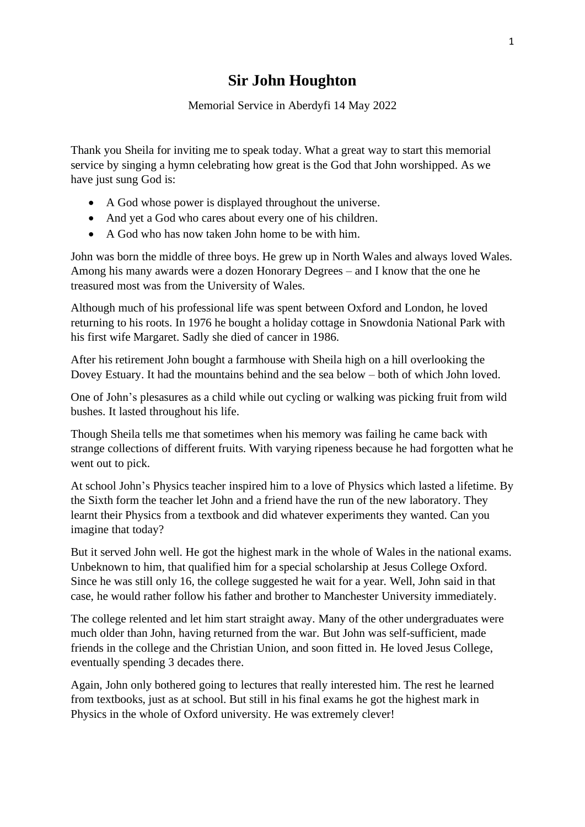## **Sir John Houghton**

Memorial Service in Aberdyfi 14 May 2022

Thank you Sheila for inviting me to speak today. What a great way to start this memorial service by singing a hymn celebrating how great is the God that John worshipped. As we have just sung God is:

- A God whose power is displayed throughout the universe.
- And yet a God who cares about every one of his children.
- A God who has now taken John home to be with him.

John was born the middle of three boys. He grew up in North Wales and always loved Wales. Among his many awards were a dozen Honorary Degrees – and I know that the one he treasured most was from the University of Wales.

Although much of his professional life was spent between Oxford and London, he loved returning to his roots. In 1976 he bought a holiday cottage in Snowdonia National Park with his first wife Margaret. Sadly she died of cancer in 1986.

After his retirement John bought a farmhouse with Sheila high on a hill overlooking the Dovey Estuary. It had the mountains behind and the sea below – both of which John loved.

One of John's plesasures as a child while out cycling or walking was picking fruit from wild bushes. It lasted throughout his life.

Though Sheila tells me that sometimes when his memory was failing he came back with strange collections of different fruits. With varying ripeness because he had forgotten what he went out to pick.

At school John's Physics teacher inspired him to a love of Physics which lasted a lifetime. By the Sixth form the teacher let John and a friend have the run of the new laboratory. They learnt their Physics from a textbook and did whatever experiments they wanted. Can you imagine that today?

But it served John well. He got the highest mark in the whole of Wales in the national exams. Unbeknown to him, that qualified him for a special scholarship at Jesus College Oxford. Since he was still only 16, the college suggested he wait for a year. Well, John said in that case, he would rather follow his father and brother to Manchester University immediately.

The college relented and let him start straight away. Many of the other undergraduates were much older than John, having returned from the war. But John was self-sufficient, made friends in the college and the Christian Union, and soon fitted in. He loved Jesus College, eventually spending 3 decades there.

Again, John only bothered going to lectures that really interested him. The rest he learned from textbooks, just as at school. But still in his final exams he got the highest mark in Physics in the whole of Oxford university. He was extremely clever!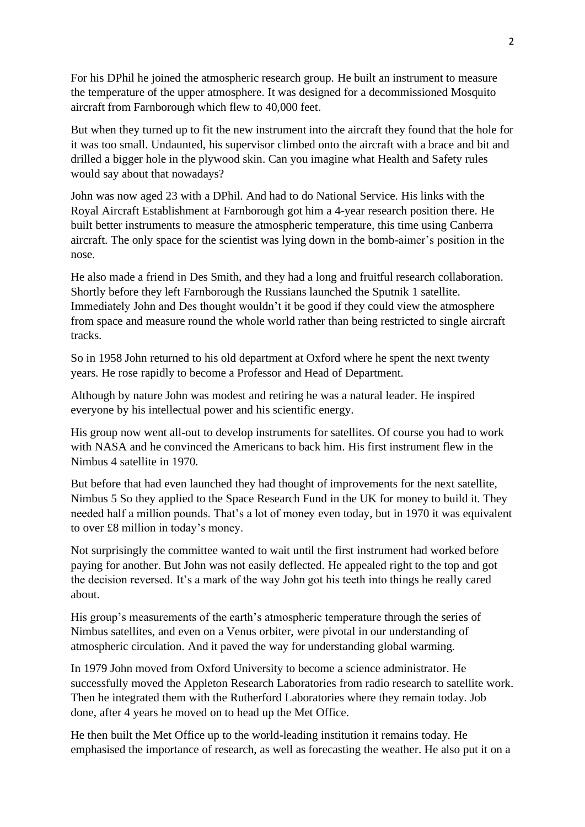For his DPhil he joined the atmospheric research group. He built an instrument to measure the temperature of the upper atmosphere. It was designed for a decommissioned Mosquito aircraft from Farnborough which flew to 40,000 feet.

But when they turned up to fit the new instrument into the aircraft they found that the hole for it was too small. Undaunted, his supervisor climbed onto the aircraft with a brace and bit and drilled a bigger hole in the plywood skin. Can you imagine what Health and Safety rules would say about that nowadays?

John was now aged 23 with a DPhil. And had to do National Service. His links with the Royal Aircraft Establishment at Farnborough got him a 4-year research position there. He built better instruments to measure the atmospheric temperature, this time using Canberra aircraft. The only space for the scientist was lying down in the bomb-aimer's position in the nose.

He also made a friend in Des Smith, and they had a long and fruitful research collaboration. Shortly before they left Farnborough the Russians launched the Sputnik 1 satellite. Immediately John and Des thought wouldn't it be good if they could view the atmosphere from space and measure round the whole world rather than being restricted to single aircraft tracks.

So in 1958 John returned to his old department at Oxford where he spent the next twenty years. He rose rapidly to become a Professor and Head of Department.

Although by nature John was modest and retiring he was a natural leader. He inspired everyone by his intellectual power and his scientific energy.

His group now went all-out to develop instruments for satellites. Of course you had to work with NASA and he convinced the Americans to back him. His first instrument flew in the Nimbus 4 satellite in 1970.

But before that had even launched they had thought of improvements for the next satellite, Nimbus 5 So they applied to the Space Research Fund in the UK for money to build it. They needed half a million pounds. That's a lot of money even today, but in 1970 it was equivalent to over £8 million in today's money.

Not surprisingly the committee wanted to wait until the first instrument had worked before paying for another. But John was not easily deflected. He appealed right to the top and got the decision reversed. It's a mark of the way John got his teeth into things he really cared about.

His group's measurements of the earth's atmospheric temperature through the series of Nimbus satellites, and even on a Venus orbiter, were pivotal in our understanding of atmospheric circulation. And it paved the way for understanding global warming.

In 1979 John moved from Oxford University to become a science administrator. He successfully moved the Appleton Research Laboratories from radio research to satellite work. Then he integrated them with the Rutherford Laboratories where they remain today. Job done, after 4 years he moved on to head up the Met Office.

He then built the Met Office up to the world-leading institution it remains today. He emphasised the importance of research, as well as forecasting the weather. He also put it on a